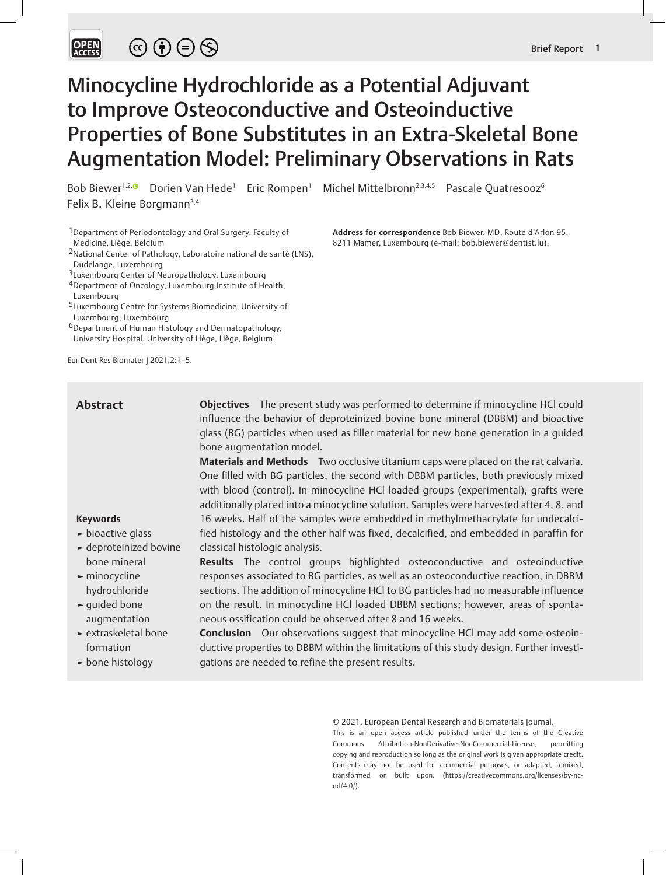# Minocycline Hydrochloride as a Potential Adjuvant to Improve Osteoconductive and Osteoinductive Properties of Bone Substitutes in an Extra-Skeletal Bone Augmentation Model: Preliminary Observations in Rats

Bob Biewer<sup>1,2,</sup> Dorien Van Hede<sup>1</sup> Eric Rompen<sup>1</sup> Michel Mittelbronn<sup>2,3,4,5</sup> Pascale Quatresooz<sup>6</sup> Felix B. Kleine Borgmann<sup>3,4</sup>

- 1Department of Periodontology and Oral Surgery, Faculty of Medicine, Liège, Belgium
- 2National Center of Pathology, Laboratoire national de santé (LNS), Dudelange, Luxembourg

- 4Department of Oncology, Luxembourg Institute of Health,
- Luxembourg
- 5Luxembourg Centre for Systems Biomedicine, University of Luxembourg, Luxembourg
- 6Department of Human Histology and Dermatopathology, University Hospital, University of Liège, Liège, Belgium

Eur Dent Res Biomater J 2021;2:1–5.

## **Abstract**

**Objectives** The present study was performed to determine if minocycline HCl could influence the behavior of deproteinized bovine bone mineral (DBBM) and bioactive glass (BG) particles when used as filler material for new bone generation in a guided bone augmentation model.

**Materials and Methods** Two occlusive titanium caps were placed on the rat calvaria. One filled with BG particles, the second with DBBM particles, both previously mixed with blood (control). In minocycline HCl loaded groups (experimental), grafts were additionally placed into a minocycline solution. Samples were harvested after 4, 8, and 16 weeks. Half of the samples were embedded in methylmethacrylate for undecalcified histology and the other half was fixed, decalcified, and embedded in paraffin for classical histologic analysis.

**Results** The control groups highlighted osteoconductive and osteoinductive responses associated to BG particles, as well as an osteoconductive reaction, in DBBM sections. The addition of minocycline HCl to BG particles had no measurable influence on the result. In minocycline HCl loaded DBBM sections; however, areas of sponta-

**Conclusion** Our observations suggest that minocycline HCl may add some osteoinductive properties to DBBM within the limitations of this study design. Further investi-

neous ossification could be observed after 8 and 16 weeks.

gations are needed to refine the present results.

- **Keywords**
- **►** bioactive glass
- **►** deproteinized bovine bone mineral
- **►** minocycline hydrochloride
- **►** guided bone augmentation
- **►** extraskeletal bone formation
- **►** bone histology

© 2021. European Dental Research and Biomaterials Journal.

This is an open access article published under the terms of the Creative Commons Attribution-NonDerivative-NonCommercial-License, permitting copying and reproduction so long as the original work is given appropriate credit. Contents may not be used for commercial purposes, or adapted, remixed, transformed or built upon. (https://creativecommons.org/licenses/by-ncnd/4.0/).

**Address for correspondence** Bob Biewer, MD, Route d'Arlon 95, 8211 Mamer, Luxembourg (e-mail: bob.biewer@dentist.lu).

<sup>3</sup>Luxembourg Center of Neuropathology, Luxembourg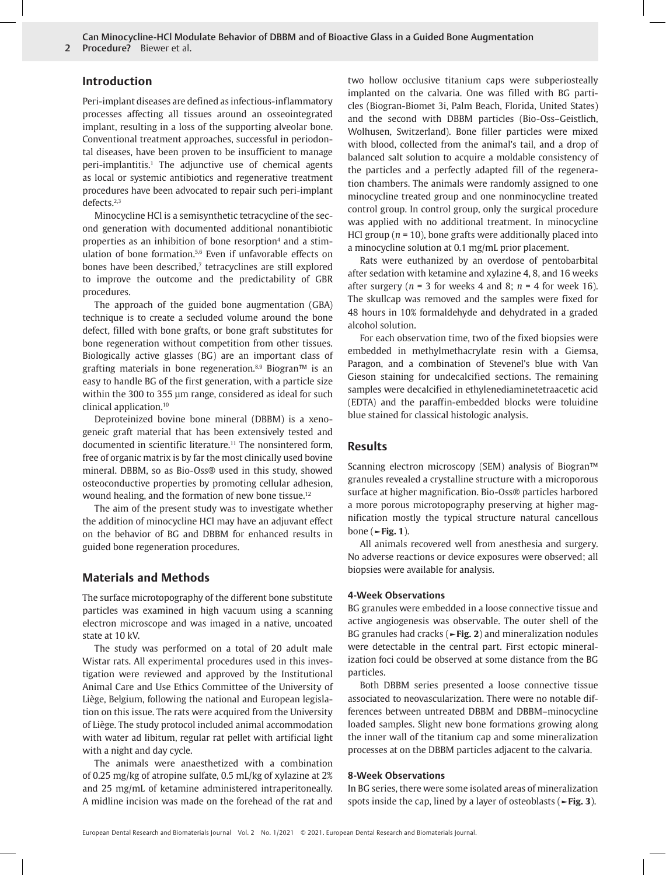Can Minocycline-HCl Modulate Behavior of DBBM and of Bioactive Glass in a Guided Bone Augmentation

2 Procedure? Biewer et al.

## **Introduction**

Peri-implant diseases are defined as infectious-inflammatory processes affecting all tissues around an osseointegrated implant, resulting in a loss of the supporting alveolar bone. Conventional treatment approaches, successful in periodontal diseases, have been proven to be insufficient to manage peri-implantitis.<sup>1</sup> The adjunctive use of chemical agents as local or systemic antibiotics and regenerative treatment procedures have been advocated to repair such peri-implant defects.2,3

Minocycline HCl is a semisynthetic tetracycline of the second generation with documented additional nonantibiotic properties as an inhibition of bone resorption<sup>4</sup> and a stimulation of bone formation.5,6 Even if unfavorable effects on bones have been described,<sup>7</sup> tetracyclines are still explored to improve the outcome and the predictability of GBR procedures.

The approach of the guided bone augmentation (GBA) technique is to create a secluded volume around the bone defect, filled with bone grafts, or bone graft substitutes for bone regeneration without competition from other tissues. Biologically active glasses (BG) are an important class of grafting materials in bone regeneration.8,9 Biogran™ is an easy to handle BG of the first generation, with a particle size within the 300 to 355 µm range, considered as ideal for such clinical application.10

Deproteinized bovine bone mineral (DBBM) is a xenogeneic graft material that has been extensively tested and documented in scientific literature.<sup>11</sup> The nonsintered form, free of organic matrix is by far the most clinically used bovine mineral. DBBM, so as Bio-Oss® used in this study, showed osteoconductive properties by promoting cellular adhesion, wound healing, and the formation of new bone tissue.12

The aim of the present study was to investigate whether the addition of minocycline HCl may have an adjuvant effect on the behavior of BG and DBBM for enhanced results in guided bone regeneration procedures.

# **Materials and Methods**

The surface microtopography of the different bone substitute particles was examined in high vacuum using a scanning electron microscope and was imaged in a native, uncoated state at 10 kV.

The study was performed on a total of 20 adult male Wistar rats. All experimental procedures used in this investigation were reviewed and approved by the Institutional Animal Care and Use Ethics Committee of the University of Liège, Belgium, following the national and European legislation on this issue. The rats were acquired from the University of Liège. The study protocol included animal accommodation with water ad libitum, regular rat pellet with artificial light with a night and day cycle.

The animals were anaesthetized with a combination of 0.25 mg/kg of atropine sulfate, 0.5 mL/kg of xylazine at 2% and 25 mg/mL of ketamine administered intraperitoneally. A midline incision was made on the forehead of the rat and

two hollow occlusive titanium caps were subperiosteally implanted on the calvaria. One was filled with BG particles (Biogran-Biomet 3i, Palm Beach, Florida, United States) and the second with DBBM particles (Bio-Oss–Geistlich, Wolhusen, Switzerland). Bone filler particles were mixed with blood, collected from the animal's tail, and a drop of balanced salt solution to acquire a moldable consistency of the particles and a perfectly adapted fill of the regeneration chambers. The animals were randomly assigned to one minocycline treated group and one nonminocycline treated control group. In control group, only the surgical procedure was applied with no additional treatment. In minocycline HCl group (*n* = 10), bone grafts were additionally placed into a minocycline solution at 0.1 mg/mL prior placement.

Rats were euthanized by an overdose of pentobarbital after sedation with ketamine and xylazine 4, 8, and 16 weeks after surgery ( $n = 3$  for weeks 4 and 8;  $n = 4$  for week 16). The skullcap was removed and the samples were fixed for 48 hours in 10% formaldehyde and dehydrated in a graded alcohol solution.

For each observation time, two of the fixed biopsies were embedded in methylmethacrylate resin with a Giemsa, Paragon, and a combination of Stevenel's blue with Van Gieson staining for undecalcified sections. The remaining samples were decalcified in ethylenediaminetetraacetic acid (EDTA) and the paraffin-embedded blocks were toluidine blue stained for classical histologic analysis.

## **Results**

Scanning electron microscopy (SEM) analysis of Biogran™ granules revealed a crystalline structure with a microporous surface at higher magnification. Bio-Oss® particles harbored a more porous microtopography preserving at higher magnification mostly the typical structure natural cancellous bone (**►Fig. 1**).

All animals recovered well from anesthesia and surgery. No adverse reactions or device exposures were observed; all biopsies were available for analysis.

#### **4-Week Observations**

BG granules were embedded in a loose connective tissue and active angiogenesis was observable. The outer shell of the BG granules had cracks (**►Fig. 2**) and mineralization nodules were detectable in the central part. First ectopic mineralization foci could be observed at some distance from the BG particles.

Both DBBM series presented a loose connective tissue associated to neovascularization. There were no notable differences between untreated DBBM and DBBM–minocycline loaded samples. Slight new bone formations growing along the inner wall of the titanium cap and some mineralization processes at on the DBBM particles adjacent to the calvaria.

### **8-Week Observations**

In BG series, there were some isolated areas of mineralization spots inside the cap, lined by a layer of osteoblasts (**►Fig. 3**).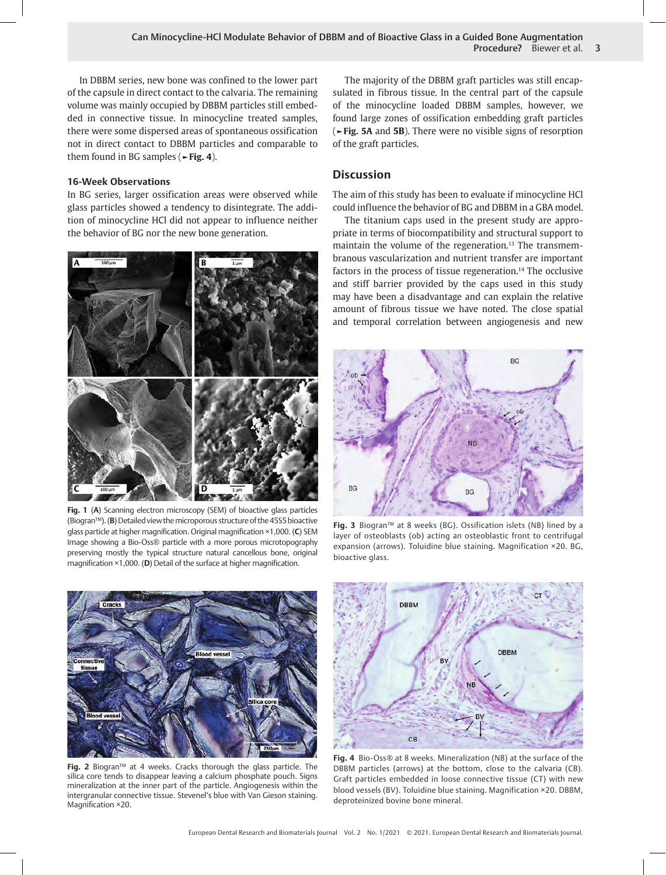In DBBM series, new bone was confined to the lower part of the capsule in direct contact to the calvaria. The remaining volume was mainly occupied by DBBM particles still embedded in connective tissue. In minocycline treated samples, there were some dispersed areas of spontaneous ossification not in direct contact to DBBM particles and comparable to them found in BG samples (**►Fig. 4**).

## **16-Week Observations**

In BG series, larger ossification areas were observed while glass particles showed a tendency to disintegrate. The addition of minocycline HCl did not appear to influence neither the behavior of BG nor the new bone generation.



**Fig. 1** (**A**) Scanning electron microscopy (SEM) of bioactive glass particles (Biogran™). (**B**) Detailed view the microporous structure of the 45S5 bioactive glass particle at higher magnification. Original magnification ×1,000. (**C**) SEM Image showing a Bio-Oss® particle with a more porous microtopography preserving mostly the typical structure natural cancellous bone, original magnification ×1,000. (**D**) Detail of the surface at higher magnification.



**Fig. 2** Biogran™ at 4 weeks. Cracks thorough the glass particle. The silica core tends to disappear leaving a calcium phosphate pouch. Signs mineralization at the inner part of the particle. Angiogenesis within the intergranular connective tissue. Stevenel's blue with Van Gieson staining. Magnification ×20.

The majority of the DBBM graft particles was still encapsulated in fibrous tissue. In the central part of the capsule of the minocycline loaded DBBM samples, however, we found large zones of ossification embedding graft particles (**►Fig. 5A** and **5B**). There were no visible signs of resorption of the graft particles.

# **Discussion**

The aim of this study has been to evaluate if minocycline HCl could influence the behavior of BG and DBBM in a GBA model.

The titanium caps used in the present study are appropriate in terms of biocompatibility and structural support to maintain the volume of the regeneration.<sup>13</sup> The transmembranous vascularization and nutrient transfer are important factors in the process of tissue regeneration.<sup>14</sup> The occlusive and stiff barrier provided by the caps used in this study may have been a disadvantage and can explain the relative amount of fibrous tissue we have noted. The close spatial and temporal correlation between angiogenesis and new



**Fig. 3** Biogran™ at 8 weeks (BG). Ossification islets (NB) lined by a layer of osteoblasts (ob) acting an osteoblastic front to centrifugal expansion (arrows). Toluidine blue staining. Magnification ×20. BG, bioactive glass.



**Fig. 4** Bio-Oss® at 8 weeks. Mineralization (NB) at the surface of the DBBM particles (arrows) at the bottom, close to the calvaria (CB). Graft particles embedded in loose connective tissue (CT) with new blood vessels (BV). Toluidine blue staining. Magnification ×20. DBBM, deproteinized bovine bone mineral.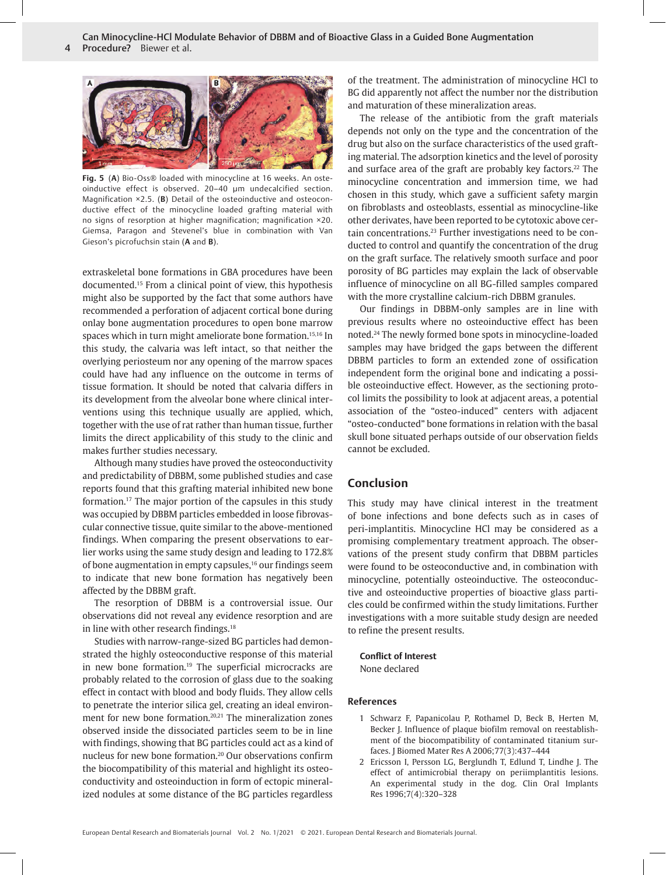

**Fig. 5** (**A**) Bio-Oss® loaded with minocycline at 16 weeks. An osteoinductive effect is observed. 20–40 µm undecalcified section. Magnification ×2.5. (**B**) Detail of the osteoinductive and osteoconductive effect of the minocycline loaded grafting material with no signs of resorption at higher magnification; magnification ×20. Giemsa, Paragon and Stevenel's blue in combination with Van Gieson's picrofuchsin stain (**A** and **B**).

extraskeletal bone formations in GBA procedures have been documented.15 From a clinical point of view, this hypothesis might also be supported by the fact that some authors have recommended a perforation of adjacent cortical bone during onlay bone augmentation procedures to open bone marrow spaces which in turn might ameliorate bone formation.<sup>15,16</sup> In this study, the calvaria was left intact, so that neither the overlying periosteum nor any opening of the marrow spaces could have had any influence on the outcome in terms of tissue formation. It should be noted that calvaria differs in its development from the alveolar bone where clinical interventions using this technique usually are applied, which, together with the use of rat rather than human tissue, further limits the direct applicability of this study to the clinic and makes further studies necessary.

Although many studies have proved the osteoconductivity and predictability of DBBM, some published studies and case reports found that this grafting material inhibited new bone formation.17 The major portion of the capsules in this study was occupied by DBBM particles embedded in loose fibrovascular connective tissue, quite similar to the above-mentioned findings. When comparing the present observations to earlier works using the same study design and leading to 172.8% of bone augmentation in empty capsules,<sup>16</sup> our findings seem to indicate that new bone formation has negatively been affected by the DBBM graft.

The resorption of DBBM is a controversial issue. Our observations did not reveal any evidence resorption and are in line with other research findings.<sup>18</sup>

Studies with narrow-range-sized BG particles had demonstrated the highly osteoconductive response of this material in new bone formation.<sup>19</sup> The superficial microcracks are probably related to the corrosion of glass due to the soaking effect in contact with blood and body fluids. They allow cells to penetrate the interior silica gel, creating an ideal environment for new bone formation.<sup>20,21</sup> The mineralization zones observed inside the dissociated particles seem to be in line with findings, showing that BG particles could act as a kind of nucleus for new bone formation.20 Our observations confirm the biocompatibility of this material and highlight its osteoconductivity and osteoinduction in form of ectopic mineralized nodules at some distance of the BG particles regardless of the treatment. The administration of minocycline HCl to BG did apparently not affect the number nor the distribution and maturation of these mineralization areas.

The release of the antibiotic from the graft materials depends not only on the type and the concentration of the drug but also on the surface characteristics of the used grafting material. The adsorption kinetics and the level of porosity and surface area of the graft are probably key factors.<sup>22</sup> The minocycline concentration and immersion time, we had chosen in this study, which gave a sufficient safety margin on fibroblasts and osteoblasts, essential as minocycline-like other derivates, have been reported to be cytotoxic above certain concentrations.23 Further investigations need to be conducted to control and quantify the concentration of the drug on the graft surface. The relatively smooth surface and poor porosity of BG particles may explain the lack of observable influence of minocycline on all BG-filled samples compared with the more crystalline calcium-rich DBBM granules.

Our findings in DBBM-only samples are in line with previous results where no osteoinductive effect has been noted.24 The newly formed bone spots in minocycline-loaded samples may have bridged the gaps between the different DBBM particles to form an extended zone of ossification independent form the original bone and indicating a possible osteoinductive effect. However, as the sectioning protocol limits the possibility to look at adjacent areas, a potential association of the "osteo-induced" centers with adjacent "osteo-conducted" bone formations in relation with the basal skull bone situated perhaps outside of our observation fields cannot be excluded.

## **Conclusion**

This study may have clinical interest in the treatment of bone infections and bone defects such as in cases of peri-implantitis. Minocycline HCl may be considered as a promising complementary treatment approach. The observations of the present study confirm that DBBM particles were found to be osteoconductive and, in combination with minocycline, potentially osteoinductive. The osteoconductive and osteoinductive properties of bioactive glass particles could be confirmed within the study limitations. Further investigations with a more suitable study design are needed to refine the present results.

**Conflict of Interest** None declared

#### **References**

- 1 Schwarz F, Papanicolau P, Rothamel D, Beck B, Herten M, Becker J. Influence of plaque biofilm removal on reestablishment of the biocompatibility of contaminated titanium surfaces. J Biomed Mater Res A 2006;77(3):437–444
- 2 Ericsson I, Persson LG, Berglundh T, Edlund T, Lindhe J. The effect of antimicrobial therapy on periimplantitis lesions. An experimental study in the dog. Clin Oral Implants Res 1996;7(4):320–328